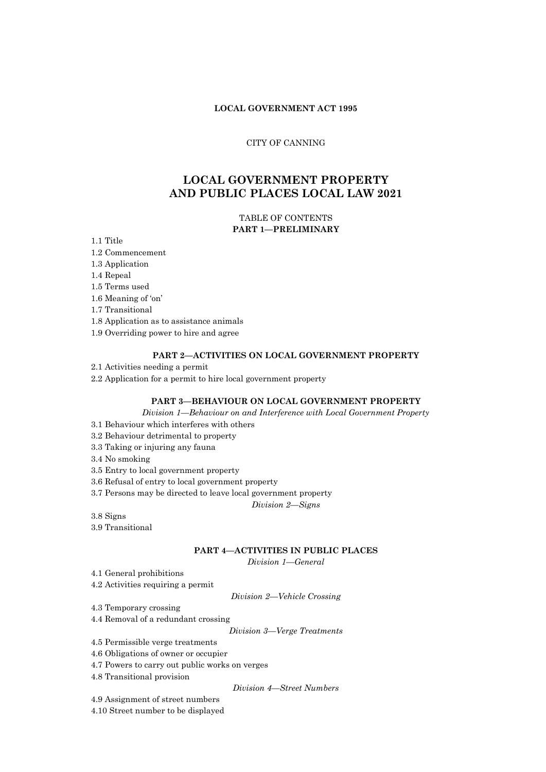# **LOCAL GOVERNMENT ACT 1995**

## CITY OF CANNING

# **LOCAL GOVERNMENT PROPERTY AND PUBLIC PLACES LOCAL LAW 2021**

# TABLE OF CONTENTS **PART 1—PRELIMINARY**

1.1 Title

- 1.2 Commencement
- 1.3 Application
- 1.4 Repeal
- 1.5 Terms used
- 1.6 Meaning of 'on'

1.7 Transitional

- 1.8 Application as to assistance animals
- 1.9 Overriding power to hire and agree

## **PART 2—ACTIVITIES ON LOCAL GOVERNMENT PROPERTY**

2.1 Activities needing a permit

2.2 Application for a permit to hire local government property

# **PART 3—BEHAVIOUR ON LOCAL GOVERNMENT PROPERTY**

*Division 1—Behaviour on and Interference with Local Government Property*

- 3.1 Behaviour which interferes with others
- 3.2 Behaviour detrimental to property
- 3.3 Taking or injuring any fauna
- 3.4 No smoking
- 3.5 Entry to local government property
- 3.6 Refusal of entry to local government property
- 3.7 Persons may be directed to leave local government property

*Division 2—Signs*

- 3.8 Signs
- 3.9 Transitional

#### **PART 4—ACTIVITIES IN PUBLIC PLACES**

*Division 1—General*

- 4.1 General prohibitions
- 4.2 Activities requiring a permit

*Division 2—Vehicle Crossing*

4.3 Temporary crossing

4.4 Removal of a redundant crossing

*Division 3—Verge Treatments*

4.5 Permissible verge treatments

4.6 Obligations of owner or occupier

- 4.7 Powers to carry out public works on verges
- 4.8 Transitional provision

*Division 4—Street Numbers*

4.9 Assignment of street numbers

4.10 Street number to be displayed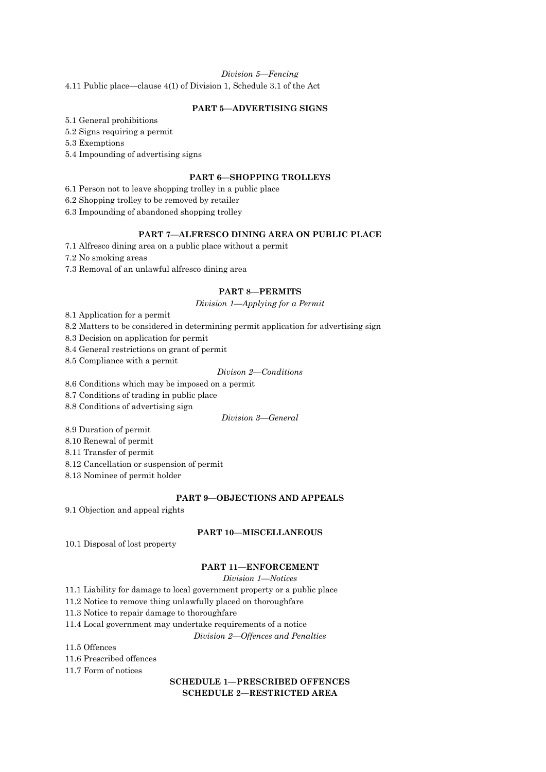## *Division 5—Fencing*

4.11 Public place—clause 4(1) of Division 1, Schedule 3.1 of the Act

# **PART 5—ADVERTISING SIGNS**

5.1 General prohibitions

5.2 Signs requiring a permit

5.3 Exemptions

5.4 Impounding of advertising signs

# **PART 6—SHOPPING TROLLEYS**

6.1 Person not to leave shopping trolley in a public place

6.2 Shopping trolley to be removed by retailer

6.3 Impounding of abandoned shopping trolley

# **PART 7—ALFRESCO DINING AREA ON PUBLIC PLACE**

7.1 Alfresco dining area on a public place without a permit

7.2 No smoking areas

7.3 Removal of an unlawful alfresco dining area

## **PART 8—PERMITS**

*Division 1—Applying for a Permit*

8.1 Application for a permit

8.2 Matters to be considered in determining permit application for advertising sign

8.3 Decision on application for permit

8.4 General restrictions on grant of permit

8.5 Compliance with a permit

# *Divison 2—Conditions*

8.6 Conditions which may be imposed on a permit

8.7 Conditions of trading in public place

8.8 Conditions of advertising sign

# *Division 3—General*

8.9 Duration of permit

8.10 Renewal of permit

8.11 Transfer of permit

8.12 Cancellation or suspension of permit

8.13 Nominee of permit holder

# **PART 9—OBJECTIONS AND APPEALS**

9.1 Objection and appeal rights

## **PART 10—MISCELLANEOUS**

10.1 Disposal of lost property

# **PART 11—ENFORCEMENT**

#### *Division 1—Notices*

11.1 Liability for damage to local government property or a public place

11.2 Notice to remove thing unlawfully placed on thoroughfare

11.3 Notice to repair damage to thoroughfare

11.4 Local government may undertake requirements of a notice

*Division 2—Offences and Penalties*

11.5 Offences

11.6 Prescribed offences

11.7 Form of notices

# **SCHEDULE 1—PRESCRIBED OFFENCES SCHEDULE 2—RESTRICTED AREA**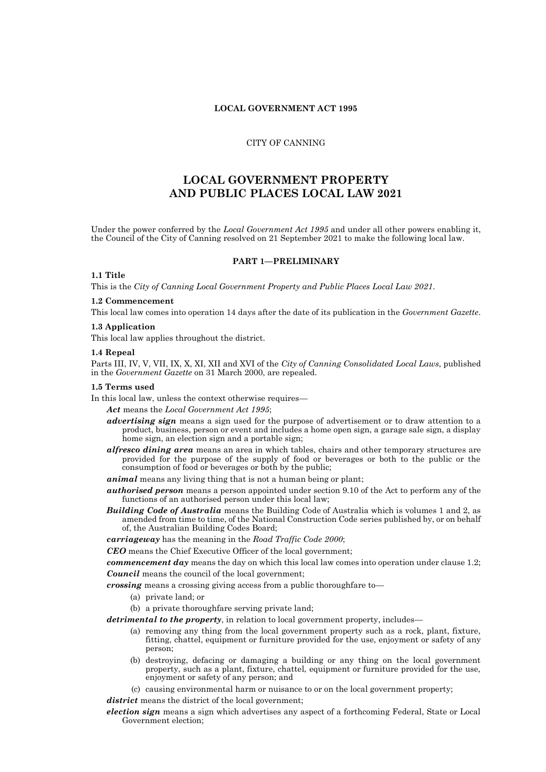# **LOCAL GOVERNMENT ACT 1995**

#### CITY OF CANNING

# **LOCAL GOVERNMENT PROPERTY AND PUBLIC PLACES LOCAL LAW 2021**

Under the power conferred by the *Local Government Act 1995* and under all other powers enabling it, the Council of the City of Canning resolved on 21 September 2021 to make the following local law.

#### **PART 1—PRELIMINARY**

## **1.1 Title**

This is the *City of Canning Local Government Property and Public Places Local Law 2021*.

#### **1.2 Commencement**

This local law comes into operation 14 days after the date of its publication in the *Government Gazette*.

#### **1.3 Application**

This local law applies throughout the district.

#### **1.4 Repeal**

Parts III, IV, V, VII, IX, X, XI, XII and XVI of the *City of Canning Consolidated Local Laws*, published in the *Government Gazette* on 31 March 2000, are repealed.

#### **1.5 Terms used**

- In this local law, unless the context otherwise requires—
	- *Act* means the *Local Government Act 1995*;
	- *advertising sign* means a sign used for the purpose of advertisement or to draw attention to a product, business, person or event and includes a home open sign, a garage sale sign, a display home sign, an election sign and a portable sign;
	- *alfresco dining area* means an area in which tables, chairs and other temporary structures are provided for the purpose of the supply of food or beverages or both to the public or the consumption of food or beverages or both by the public;
	- *animal* means any living thing that is not a human being or plant;
	- *authorised person* means a person appointed under section 9.10 of the Act to perform any of the functions of an authorised person under this local law;
	- *Building Code of Australia* means the Building Code of Australia which is volumes 1 and 2, as amended from time to time, of the National Construction Code series published by, or on behalf of, the Australian Building Codes Board;

*carriageway* has the meaning in the *Road Traffic Code 2000*;

*CEO* means the Chief Executive Officer of the local government;

*commencement day* means the day on which this local law comes into operation under clause 1.2; *Council* means the council of the local government;

*crossing* means a crossing giving access from a public thoroughfare to—

- (a) private land; or
- (b) a private thoroughfare serving private land;

*detrimental to the property*, in relation to local government property, includes—

- (a) removing any thing from the local government property such as a rock, plant, fixture, fitting, chattel, equipment or furniture provided for the use, enjoyment or safety of any person;
- (b) destroying, defacing or damaging a building or any thing on the local government property, such as a plant, fixture, chattel, equipment or furniture provided for the use, enjoyment or safety of any person; and
- (c) causing environmental harm or nuisance to or on the local government property;

district means the district of the local government;

*election sign* means a sign which advertises any aspect of a forthcoming Federal, State or Local Government election;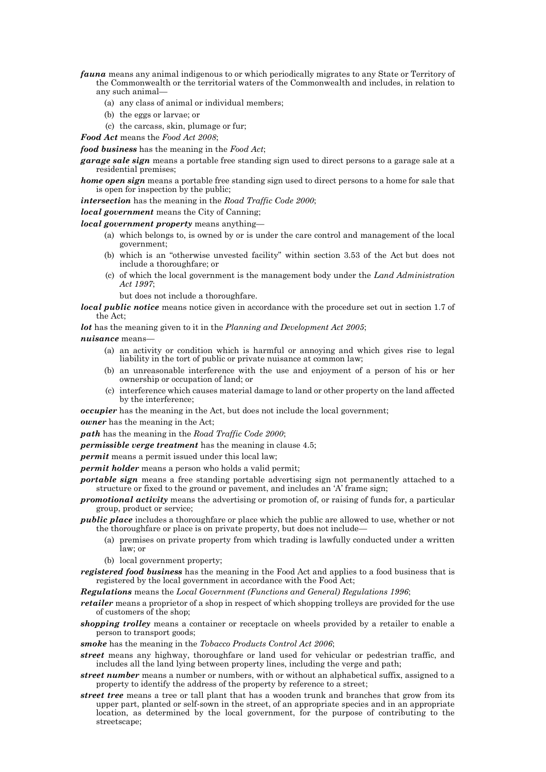- *fauna* means any animal indigenous to or which periodically migrates to any State or Territory of the Commonwealth or the territorial waters of the Commonwealth and includes, in relation to any such animal—
	- (a) any class of animal or individual members;
	- (b) the eggs or larvae; or
	- (c) the carcass, skin, plumage or fur;
- *Food Act* means the *Food Act 2008*;

*food business* has the meaning in the *Food Act*;

*garage sale sign* means a portable free standing sign used to direct persons to a garage sale at a residential premises;

*home open sign* means a portable free standing sign used to direct persons to a home for sale that is open for inspection by the public;

*intersection* has the meaning in the *Road Traffic Code 2000*;

## *local government* means the City of Canning;

*local government property* means anything—

- (a) which belongs to, is owned by or is under the care control and management of the local government;
- (b) which is an "otherwise unvested facility" within section 3.53 of the Act but does not include a thoroughfare; or
- (c) of which the local government is the management body under the *Land Administration Act 1997*;
	- but does not include a thoroughfare.
- *local public notice* means notice given in accordance with the procedure set out in section 1.7 of the Act;

*lot* has the meaning given to it in the *Planning and Development Act 2005*;

- *nuisance* means—
	- (a) an activity or condition which is harmful or annoying and which gives rise to legal liability in the tort of public or private nuisance at common law;
	- (b) an unreasonable interference with the use and enjoyment of a person of his or her ownership or occupation of land; or
	- (c) interference which causes material damage to land or other property on the land affected by the interference;

*occupier* has the meaning in the Act, but does not include the local government;

*owner* has the meaning in the Act;

*path* has the meaning in the *Road Traffic Code 2000*;

*permissible verge treatment* has the meaning in clause 4.5;

*permit* means a permit issued under this local law;

*permit holder* means a person who holds a valid permit;

- *portable sign* means a free standing portable advertising sign not permanently attached to a structure or fixed to the ground or pavement, and includes an 'A' frame sign;
- *promotional activity* means the advertising or promotion of, or raising of funds for, a particular group, product or service;
- *public place* includes a thoroughfare or place which the public are allowed to use, whether or not the thoroughfare or place is on private property, but does not include—
	- (a) premises on private property from which trading is lawfully conducted under a written law; or
	- (b) local government property;

*registered food business* has the meaning in the Food Act and applies to a food business that is registered by the local government in accordance with the Food Act;

*Regulations* means the *Local Government (Functions and General) Regulations 1996*;

*retailer* means a proprietor of a shop in respect of which shopping trolleys are provided for the use of customers of the shop;

*shopping trolley* means a container or receptacle on wheels provided by a retailer to enable a person to transport goods;

*smoke* has the meaning in the *Tobacco Products Control Act 2006*;

- *street* means any highway, thoroughfare or land used for vehicular or pedestrian traffic, and includes all the land lying between property lines, including the verge and path;
- *street number* means a number or numbers, with or without an alphabetical suffix, assigned to a property to identify the address of the property by reference to a street;
- *street tree* means a tree or tall plant that has a wooden trunk and branches that grow from its upper part, planted or self-sown in the street, of an appropriate species and in an appropriate location, as determined by the local government, for the purpose of contributing to the streetscape;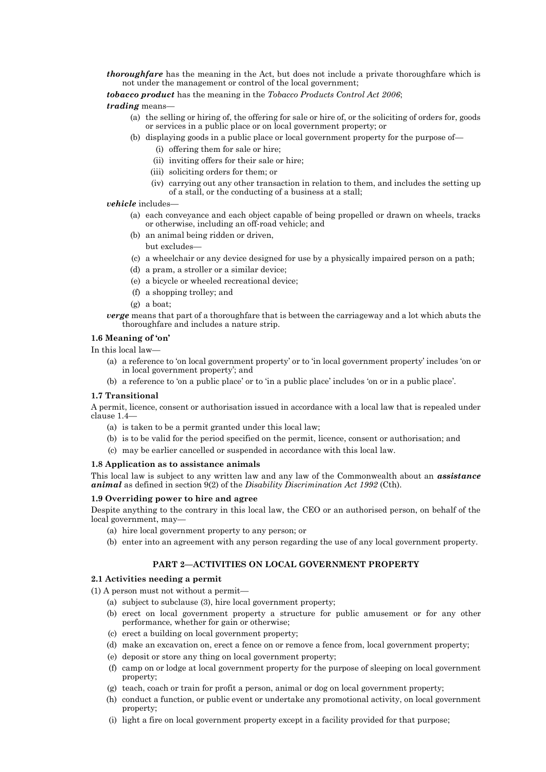*thoroughfare* has the meaning in the Act, but does not include a private thoroughfare which is not under the management or control of the local government;

*tobacco product* has the meaning in the *Tobacco Products Control Act 2006*;

# *trading* means—

- (a) the selling or hiring of, the offering for sale or hire of, or the soliciting of orders for, goods or services in a public place or on local government property; or
- (b) displaying goods in a public place or local government property for the purpose of—
	- (i) offering them for sale or hire;
	- (ii) inviting offers for their sale or hire;
	- (iii) soliciting orders for them; or
	- (iv) carrying out any other transaction in relation to them, and includes the setting up of a stall, or the conducting of a business at a stall;

## *vehicle* includes—

- (a) each conveyance and each object capable of being propelled or drawn on wheels, tracks or otherwise, including an off-road vehicle; and
- (b) an animal being ridden or driven, but excludes-
- (c) a wheelchair or any device designed for use by a physically impaired person on a path;
- (d) a pram, a stroller or a similar device;
- (e) a bicycle or wheeled recreational device;
- (f) a shopping trolley; and
- (g) a boat;
- *verge* means that part of a thoroughfare that is between the carriageway and a lot which abuts the thoroughfare and includes a nature strip.

# **1.6 Meaning of 'on'**

In this local law—

- (a) a reference to 'on local government property' or to 'in local government property' includes 'on or in local government property'; and
- (b) a reference to 'on a public place' or to 'in a public place' includes 'on or in a public place'.

## **1.7 Transitional**

A permit, licence, consent or authorisation issued in accordance with a local law that is repealed under clause 1.4—

- (a) is taken to be a permit granted under this local law;
- (b) is to be valid for the period specified on the permit, licence, consent or authorisation; and
- (c) may be earlier cancelled or suspended in accordance with this local law.

## **1.8 Application as to assistance animals**

This local law is subject to any written law and any law of the Commonwealth about an *assistance animal* as defined in section 9(2) of the *Disability Discrimination Act 1992* (Cth).

## **1.9 Overriding power to hire and agree**

Despite anything to the contrary in this local law, the CEO or an authorised person, on behalf of the local government, may—

- (a) hire local government property to any person; or
- (b) enter into an agreement with any person regarding the use of any local government property.

# **PART 2—ACTIVITIES ON LOCAL GOVERNMENT PROPERTY**

## **2.1 Activities needing a permit**

(1) A person must not without a permit—

- (a) subject to subclause (3), hire local government property;
- (b) erect on local government property a structure for public amusement or for any other performance, whether for gain or otherwise;
- (c) erect a building on local government property;
- (d) make an excavation on, erect a fence on or remove a fence from, local government property;
- (e) deposit or store any thing on local government property;
- (f) camp on or lodge at local government property for the purpose of sleeping on local government property;
- (g) teach, coach or train for profit a person, animal or dog on local government property;
- (h) conduct a function, or public event or undertake any promotional activity, on local government property;
- (i) light a fire on local government property except in a facility provided for that purpose;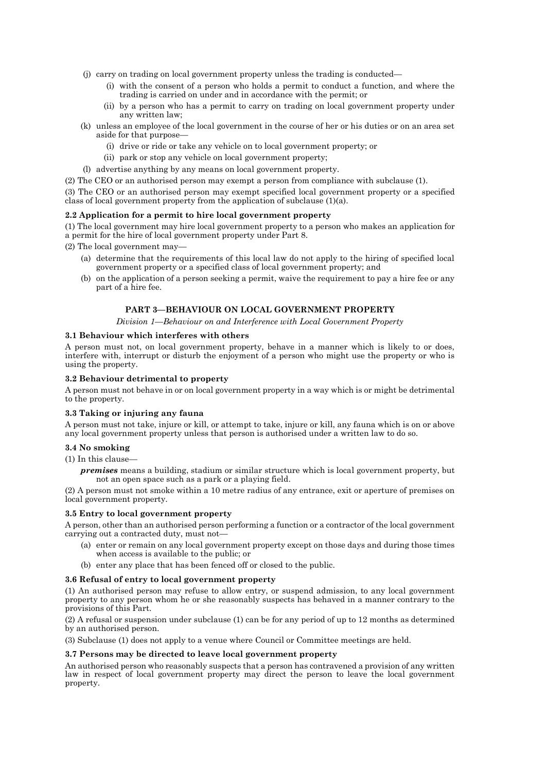- (j) carry on trading on local government property unless the trading is conducted—
	- (i) with the consent of a person who holds a permit to conduct a function, and where the trading is carried on under and in accordance with the permit; or
	- (ii) by a person who has a permit to carry on trading on local government property under any written law;
- (k) unless an employee of the local government in the course of her or his duties or on an area set aside for that purpose—
	- (i) drive or ride or take any vehicle on to local government property; or
	- (ii) park or stop any vehicle on local government property;
- (l) advertise anything by any means on local government property.
- (2) The CEO or an authorised person may exempt a person from compliance with subclause (1).

(3) The CEO or an authorised person may exempt specified local government property or a specified class of local government property from the application of subclause (1)(a).

## **2.2 Application for a permit to hire local government property**

(1) The local government may hire local government property to a person who makes an application for a permit for the hire of local government property under Part 8.

(2) The local government may—

- (a) determine that the requirements of this local law do not apply to the hiring of specified local government property or a specified class of local government property; and
- (b) on the application of a person seeking a permit, waive the requirement to pay a hire fee or any part of a hire fee.

# **PART 3—BEHAVIOUR ON LOCAL GOVERNMENT PROPERTY**

*Division 1—Behaviour on and Interference with Local Government Property*

### **3.1 Behaviour which interferes with others**

A person must not, on local government property, behave in a manner which is likely to or does, interfere with, interrupt or disturb the enjoyment of a person who might use the property or who is using the property.

#### **3.2 Behaviour detrimental to property**

A person must not behave in or on local government property in a way which is or might be detrimental to the property.

#### **3.3 Taking or injuring any fauna**

A person must not take, injure or kill, or attempt to take, injure or kill, any fauna which is on or above any local government property unless that person is authorised under a written law to do so.

#### **3.4 No smoking**

(1) In this clause—

*premises* means a building, stadium or similar structure which is local government property, but not an open space such as a park or a playing field.

(2) A person must not smoke within a 10 metre radius of any entrance, exit or aperture of premises on local government property.

#### **3.5 Entry to local government property**

A person, other than an authorised person performing a function or a contractor of the local government carrying out a contracted duty, must not—

- (a) enter or remain on any local government property except on those days and during those times when access is available to the public; or
- (b) enter any place that has been fenced off or closed to the public.

#### **3.6 Refusal of entry to local government property**

(1) An authorised person may refuse to allow entry, or suspend admission, to any local government property to any person whom he or she reasonably suspects has behaved in a manner contrary to the provisions of this Part.

(2) A refusal or suspension under subclause (1) can be for any period of up to 12 months as determined by an authorised person.

(3) Subclause (1) does not apply to a venue where Council or Committee meetings are held.

#### **3.7 Persons may be directed to leave local government property**

An authorised person who reasonably suspects that a person has contravened a provision of any written law in respect of local government property may direct the person to leave the local government property.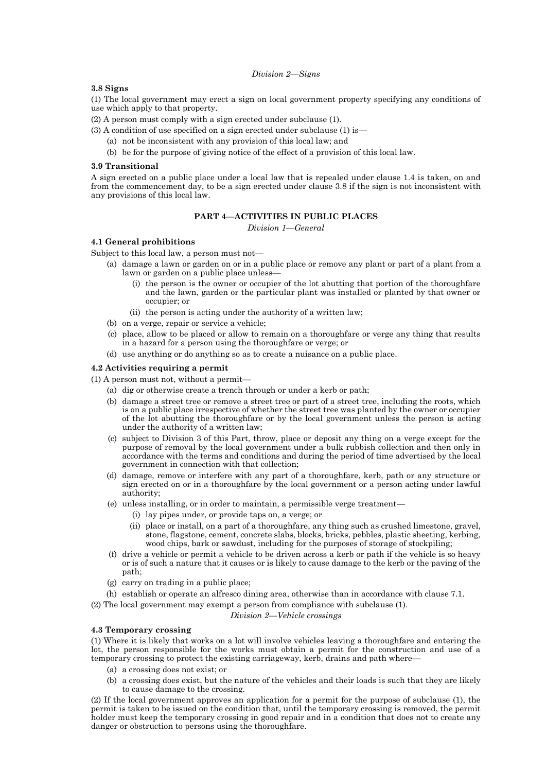#### *Division 2—Signs*

## **3.8 Signs**

(1) The local government may erect a sign on local government property specifying any conditions of use which apply to that property.

(2) A person must comply with a sign erected under subclause (1).

(3) A condition of use specified on a sign erected under subclause (1) is—

- (a) not be inconsistent with any provision of this local law; and
- (b) be for the purpose of giving notice of the effect of a provision of this local law.

#### **3.9 Transitional**

A sign erected on a public place under a local law that is repealed under clause 1.4 is taken, on and from the commencement day, to be a sign erected under clause 3.8 if the sign is not inconsistent with any provisions of this local law.

# **PART 4—ACTIVITIES IN PUBLIC PLACES**

*Division 1—General*

### **4.1 General prohibitions**

Subject to this local law, a person must not—

- (a) damage a lawn or garden on or in a public place or remove any plant or part of a plant from a lawn or garden on a public place unless—
	- (i) the person is the owner or occupier of the lot abutting that portion of the thoroughfare and the lawn, garden or the particular plant was installed or planted by that owner or occupier; or
	- (ii) the person is acting under the authority of a written law;
- (b) on a verge, repair or service a vehicle;
- (c) place, allow to be placed or allow to remain on a thoroughfare or verge any thing that results in a hazard for a person using the thoroughfare or verge; or
- (d) use anything or do anything so as to create a nuisance on a public place.

# **4.2 Activities requiring a permit**

- (1) A person must not, without a permit—
	- (a) dig or otherwise create a trench through or under a kerb or path;
	- (b) damage a street tree or remove a street tree or part of a street tree, including the roots, which is on a public place irrespective of whether the street tree was planted by the owner or occupier of the lot abutting the thoroughfare or by the local government unless the person is acting under the authority of a written law;
	- (c) subject to Division 3 of this Part, throw, place or deposit any thing on a verge except for the purpose of removal by the local government under a bulk rubbish collection and then only in accordance with the terms and conditions and during the period of time advertised by the local government in connection with that collection;
	- (d) damage, remove or interfere with any part of a thoroughfare, kerb, path or any structure or sign erected on or in a thoroughfare by the local government or a person acting under lawful authority;
	- (e) unless installing, or in order to maintain, a permissible verge treatment—
		- (i) lay pipes under, or provide taps on, a verge; or
		- (ii) place or install, on a part of a thoroughfare, any thing such as crushed limestone, gravel, stone, flagstone, cement, concrete slabs, blocks, bricks, pebbles, plastic sheeting, kerbing, wood chips, bark or sawdust, including for the purposes of storage of stockpiling;
	- (f) drive a vehicle or permit a vehicle to be driven across a kerb or path if the vehicle is so heavy or is of such a nature that it causes or is likely to cause damage to the kerb or the paving of the path;
	- (g) carry on trading in a public place;
- (h) establish or operate an alfresco dining area, otherwise than in accordance with clause 7.1.
- (2) The local government may exempt a person from compliance with subclause (1).

*Division 2—Vehicle crossings*

## **4.3 Temporary crossing**

(1) Where it is likely that works on a lot will involve vehicles leaving a thoroughfare and entering the lot, the person responsible for the works must obtain a permit for the construction and use of a temporary crossing to protect the existing carriageway, kerb, drains and path where—

- (a) a crossing does not exist; or
- (b) a crossing does exist, but the nature of the vehicles and their loads is such that they are likely to cause damage to the crossing.

(2) If the local government approves an application for a permit for the purpose of subclause (1), the permit is taken to be issued on the condition that, until the temporary crossing is removed, the permit holder must keep the temporary crossing in good repair and in a condition that does not to create any danger or obstruction to persons using the thoroughfare.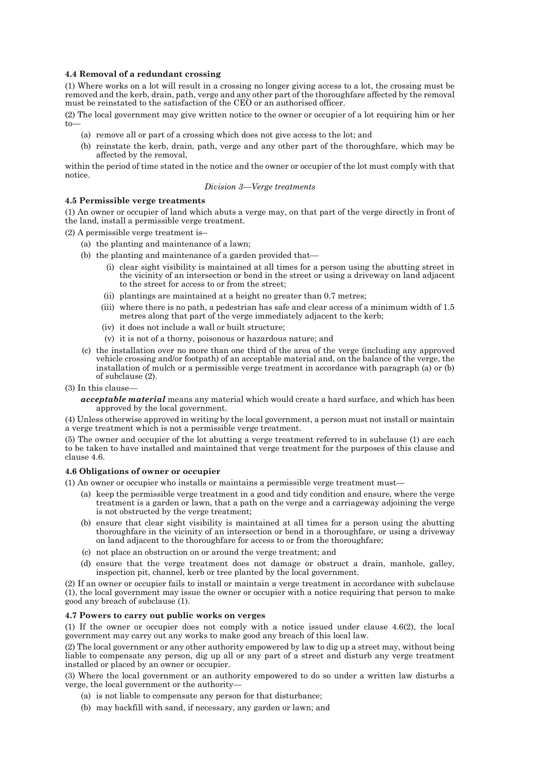## **4.4 Removal of a redundant crossing**

(1) Where works on a lot will result in a crossing no longer giving access to a lot, the crossing must be removed and the kerb, drain, path, verge and any other part of the thoroughfare affected by the removal must be reinstated to the satisfaction of the CEO or an authorised officer.

(2) The local government may give written notice to the owner or occupier of a lot requiring him or her to—

- (a) remove all or part of a crossing which does not give access to the lot; and
- (b) reinstate the kerb, drain, path, verge and any other part of the thoroughfare, which may be affected by the removal,

within the period of time stated in the notice and the owner or occupier of the lot must comply with that notice.

#### *Division 3—Verge treatments*

#### **4.5 Permissible verge treatments**

(1) An owner or occupier of land which abuts a verge may, on that part of the verge directly in front of the land, install a permissible verge treatment.

(2) A permissible verge treatment is–

- (a) the planting and maintenance of a lawn;
- (b) the planting and maintenance of a garden provided that—
	- (i) clear sight visibility is maintained at all times for a person using the abutting street in the vicinity of an intersection or bend in the street or using a driveway on land adjacent to the street for access to or from the street;
	- (ii) plantings are maintained at a height no greater than 0.7 metres;
	- (iii) where there is no path, a pedestrian has safe and clear access of a minimum width of 1.5 metres along that part of the verge immediately adjacent to the kerb;
	- (iv) it does not include a wall or built structure;
	- (v) it is not of a thorny, poisonous or hazardous nature; and
- (c) the installation over no more than one third of the area of the verge (including any approved vehicle crossing and/or footpath) of an acceptable material and, on the balance of the verge, the installation of mulch or a permissible verge treatment in accordance with paragraph (a) or (b) of subclause (2).
- (3) In this clause
	- *acceptable material* means any material which would create a hard surface, and which has been approved by the local government.

(4) Unless otherwise approved in writing by the local government, a person must not install or maintain a verge treatment which is not a permissible verge treatment.

(5) The owner and occupier of the lot abutting a verge treatment referred to in subclause (1) are each to be taken to have installed and maintained that verge treatment for the purposes of this clause and clause 4.6.

## **4.6 Obligations of owner or occupier**

(1) An owner or occupier who installs or maintains a permissible verge treatment must—

- (a) keep the permissible verge treatment in a good and tidy condition and ensure, where the verge treatment is a garden or lawn, that a path on the verge and a carriageway adjoining the verge is not obstructed by the verge treatment;
- (b) ensure that clear sight visibility is maintained at all times for a person using the abutting thoroughfare in the vicinity of an intersection or bend in a thoroughfare, or using a driveway on land adjacent to the thoroughfare for access to or from the thoroughfare;
- (c) not place an obstruction on or around the verge treatment; and
- (d) ensure that the verge treatment does not damage or obstruct a drain, manhole, galley, inspection pit, channel, kerb or tree planted by the local government.

(2) If an owner or occupier fails to install or maintain a verge treatment in accordance with subclause (1), the local government may issue the owner or occupier with a notice requiring that person to make good any breach of subclause (1).

## **4.7 Powers to carry out public works on verges**

(1) If the owner or occupier does not comply with a notice issued under clause 4.6(2), the local government may carry out any works to make good any breach of this local law.

(2) The local government or any other authority empowered by law to dig up a street may, without being liable to compensate any person, dig up all or any part of a street and disturb any verge treatment installed or placed by an owner or occupier.

(3) Where the local government or an authority empowered to do so under a written law disturbs a verge, the local government or the authority—

- (a) is not liable to compensate any person for that disturbance;
- (b) may backfill with sand, if necessary, any garden or lawn; and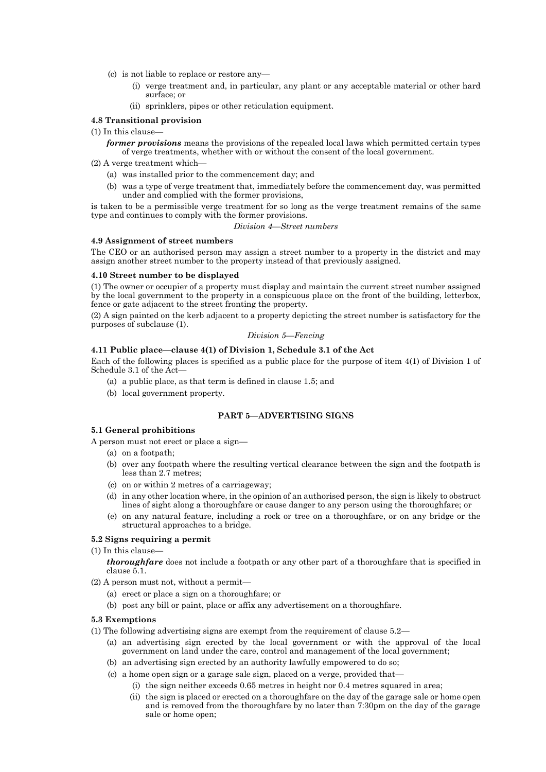- (c) is not liable to replace or restore any—
	- (i) verge treatment and, in particular, any plant or any acceptable material or other hard surface; or
	- (ii) sprinklers, pipes or other reticulation equipment.

#### **4.8 Transitional provision**

- (1) In this clause
	- *former provisions* means the provisions of the repealed local laws which permitted certain types of verge treatments, whether with or without the consent of the local government.
- (2) A verge treatment which—
	- (a) was installed prior to the commencement day; and
	- (b) was a type of verge treatment that, immediately before the commencement day, was permitted under and complied with the former provisions,

is taken to be a permissible verge treatment for so long as the verge treatment remains of the same type and continues to comply with the former provisions.

#### *Division 4—Street numbers*

## **4.9 Assignment of street numbers**

The CEO or an authorised person may assign a street number to a property in the district and may assign another street number to the property instead of that previously assigned.

## **4.10 Street number to be displayed**

(1) The owner or occupier of a property must display and maintain the current street number assigned by the local government to the property in a conspicuous place on the front of the building, letterbox, fence or gate adjacent to the street fronting the property.

(2) A sign painted on the kerb adjacent to a property depicting the street number is satisfactory for the purposes of subclause (1).

## *Division 5—Fencing*

## **4.11 Public place—clause 4(1) of Division 1, Schedule 3.1 of the Act**

Each of the following places is specified as a public place for the purpose of item 4(1) of Division 1 of Schedule 3.1 of the Act—

- (a) a public place, as that term is defined in clause 1.5; and
- (b) local government property.

# **PART 5—ADVERTISING SIGNS**

## **5.1 General prohibitions**

A person must not erect or place a sign—

- (a) on a footpath;
- (b) over any footpath where the resulting vertical clearance between the sign and the footpath is less than 2.7 metres;
- (c) on or within 2 metres of a carriageway;
- (d) in any other location where, in the opinion of an authorised person, the sign is likely to obstruct lines of sight along a thoroughfare or cause danger to any person using the thoroughfare; or
- (e) on any natural feature, including a rock or tree on a thoroughfare, or on any bridge or the structural approaches to a bridge.

## **5.2 Signs requiring a permit**

(1) In this clause—

*thoroughfare* does not include a footpath or any other part of a thoroughfare that is specified in clause 5.1.

- (2) A person must not, without a permit—
	- (a) erect or place a sign on a thoroughfare; or
	- (b) post any bill or paint, place or affix any advertisement on a thoroughfare.

#### **5.3 Exemptions**

- (1) The following advertising signs are exempt from the requirement of clause 5.2—
	- (a) an advertising sign erected by the local government or with the approval of the local government on land under the care, control and management of the local government;
	- (b) an advertising sign erected by an authority lawfully empowered to do so;
	- (c) a home open sign or a garage sale sign, placed on a verge, provided that—
		- (i) the sign neither exceeds 0.65 metres in height nor 0.4 metres squared in area;
			- (ii) the sign is placed or erected on a thoroughfare on the day of the garage sale or home open and is removed from the thoroughfare by no later than 7:30pm on the day of the garage sale or home open;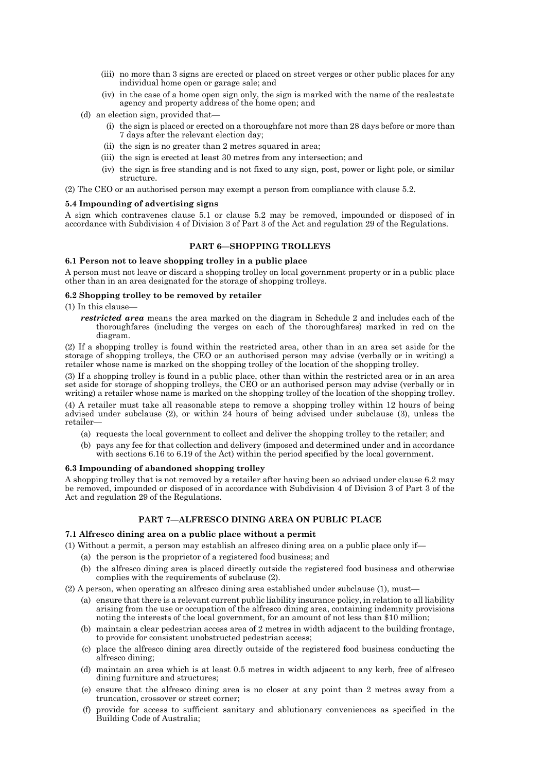- (iii) no more than 3 signs are erected or placed on street verges or other public places for any individual home open or garage sale; and
- (iv) in the case of a home open sign only, the sign is marked with the name of the realestate agency and property address of the home open; and
- (d) an election sign, provided that—
	- (i) the sign is placed or erected on a thoroughfare not more than 28 days before or more than 7 days after the relevant election day;
	- (ii) the sign is no greater than 2 metres squared in area;
	- (iii) the sign is erected at least 30 metres from any intersection; and
	- (iv) the sign is free standing and is not fixed to any sign, post, power or light pole, or similar structure.
- (2) The CEO or an authorised person may exempt a person from compliance with clause 5.2.

#### **5.4 Impounding of advertising signs**

A sign which contravenes clause 5.1 or clause 5.2 may be removed, impounded or disposed of in accordance with Subdivision 4 of Division 3 of Part 3 of the Act and regulation 29 of the Regulations.

#### **PART 6—SHOPPING TROLLEYS**

#### **6.1 Person not to leave shopping trolley in a public place**

A person must not leave or discard a shopping trolley on local government property or in a public place other than in an area designated for the storage of shopping trolleys.

## **6.2 Shopping trolley to be removed by retailer**

(1) In this clause—

*restricted area* means the area marked on the diagram in Schedule 2 and includes each of the thoroughfares (including the verges on each of the thoroughfares) marked in red on the diagram.

(2) If a shopping trolley is found within the restricted area, other than in an area set aside for the storage of shopping trolleys, the CEO or an authorised person may advise (verbally or in writing) a retailer whose name is marked on the shopping trolley of the location of the shopping trolley.

(3) If a shopping trolley is found in a public place, other than within the restricted area or in an area set aside for storage of shopping trolleys, the CEO or an authorised person may advise (verbally or in writing) a retailer whose name is marked on the shopping trolley of the location of the shopping trolley.

(4) A retailer must take all reasonable steps to remove a shopping trolley within 12 hours of being advised under subclause (2), or within 24 hours of being advised under subclause (3), unless the retailer—

- (a) requests the local government to collect and deliver the shopping trolley to the retailer; and
- (b) pays any fee for that collection and delivery (imposed and determined under and in accordance with sections 6.16 to 6.19 of the Act) within the period specified by the local government.

#### **6.3 Impounding of abandoned shopping trolley**

A shopping trolley that is not removed by a retailer after having been so advised under clause 6.2 may be removed, impounded or disposed of in accordance with Subdivision 4 of Division 3 of Part 3 of the Act and regulation 29 of the Regulations.

## **PART 7—ALFRESCO DINING AREA ON PUBLIC PLACE**

#### **7.1 Alfresco dining area on a public place without a permit**

(1) Without a permit, a person may establish an alfresco dining area on a public place only if—

- (a) the person is the proprietor of a registered food business; and
- (b) the alfresco dining area is placed directly outside the registered food business and otherwise complies with the requirements of subclause (2).
- (2) A person, when operating an alfresco dining area established under subclause (1), must—
	- (a) ensure that there is a relevant current public liability insurance policy, in relation to all liability arising from the use or occupation of the alfresco dining area, containing indemnity provisions noting the interests of the local government, for an amount of not less than \$10 million;
	- (b) maintain a clear pedestrian access area of 2 metres in width adjacent to the building frontage, to provide for consistent unobstructed pedestrian access;
	- (c) place the alfresco dining area directly outside of the registered food business conducting the alfresco dining;
	- (d) maintain an area which is at least 0.5 metres in width adjacent to any kerb, free of alfresco dining furniture and structures;
	- (e) ensure that the alfresco dining area is no closer at any point than 2 metres away from a truncation, crossover or street corner;
	- (f) provide for access to sufficient sanitary and ablutionary conveniences as specified in the Building Code of Australia;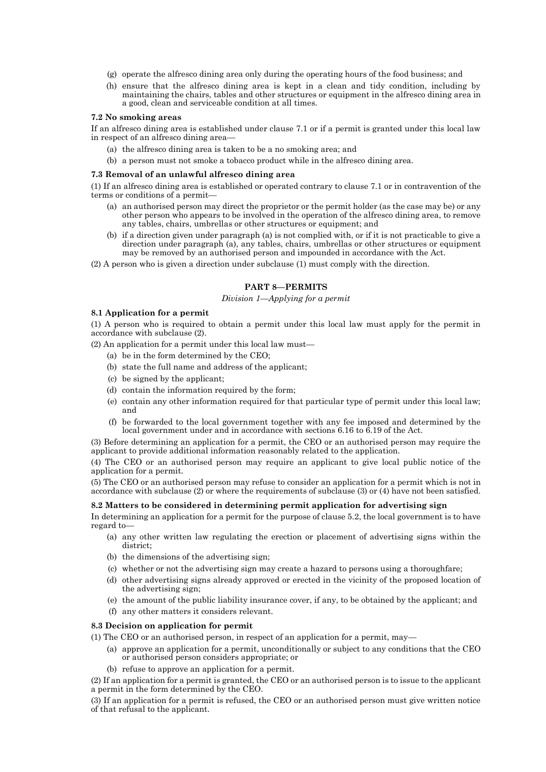- (g) operate the alfresco dining area only during the operating hours of the food business; and
- (h) ensure that the alfresco dining area is kept in a clean and tidy condition, including by maintaining the chairs, tables and other structures or equipment in the alfresco dining area in a good, clean and serviceable condition at all times.

#### **7.2 No smoking areas**

If an alfresco dining area is established under clause 7.1 or if a permit is granted under this local law in respect of an alfresco dining area—

- (a) the alfresco dining area is taken to be a no smoking area; and
- (b) a person must not smoke a tobacco product while in the alfresco dining area.

#### **7.3 Removal of an unlawful alfresco dining area**

(1) If an alfresco dining area is established or operated contrary to clause 7.1 or in contravention of the terms or conditions of a permit—

- (a) an authorised person may direct the proprietor or the permit holder (as the case may be) or any other person who appears to be involved in the operation of the alfresco dining area, to remove any tables, chairs, umbrellas or other structures or equipment; and
- (b) if a direction given under paragraph (a) is not complied with, or if it is not practicable to give a direction under paragraph (a), any tables, chairs, umbrellas or other structures or equipment may be removed by an authorised person and impounded in accordance with the Act.
- (2) A person who is given a direction under subclause (1) must comply with the direction.

# **PART 8—PERMITS**

### *Division 1—Applying for a permit*

#### **8.1 Application for a permit**

(1) A person who is required to obtain a permit under this local law must apply for the permit in accordance with subclause (2).

(2) An application for a permit under this local law must—

- (a) be in the form determined by the CEO;
- (b) state the full name and address of the applicant;
- (c) be signed by the applicant;
- (d) contain the information required by the form;
- (e) contain any other information required for that particular type of permit under this local law; and
- (f) be forwarded to the local government together with any fee imposed and determined by the local government under and in accordance with sections 6.16 to 6.19 of the Act.

(3) Before determining an application for a permit, the CEO or an authorised person may require the applicant to provide additional information reasonably related to the application.

(4) The CEO or an authorised person may require an applicant to give local public notice of the application for a permit.

(5) The CEO or an authorised person may refuse to consider an application for a permit which is not in accordance with subclause (2) or where the requirements of subclause (3) or (4) have not been satisfied.

#### **8.2 Matters to be considered in determining permit application for advertising sign**

In determining an application for a permit for the purpose of clause 5.2, the local government is to have regard to—

- (a) any other written law regulating the erection or placement of advertising signs within the district;
- (b) the dimensions of the advertising sign;
- (c) whether or not the advertising sign may create a hazard to persons using a thoroughfare;
- (d) other advertising signs already approved or erected in the vicinity of the proposed location of the advertising sign;
- (e) the amount of the public liability insurance cover, if any, to be obtained by the applicant; and
- (f) any other matters it considers relevant.

## **8.3 Decision on application for permit**

(1) The CEO or an authorised person, in respect of an application for a permit, may—

- (a) approve an application for a permit, unconditionally or subject to any conditions that the CEO or authorised person considers appropriate; or
- (b) refuse to approve an application for a permit.

(2) If an application for a permit is granted, the CEO or an authorised person is to issue to the applicant a permit in the form determined by the CEO.

(3) If an application for a permit is refused, the CEO or an authorised person must give written notice of that refusal to the applicant.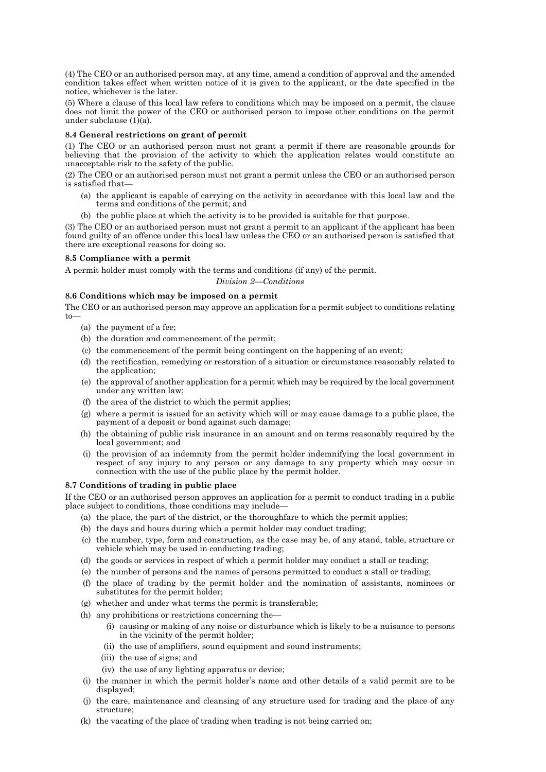(4) The CEO or an authorised person may, at any time, amend a condition of approval and the amended condition takes effect when written notice of it is given to the applicant, or the date specified in the notice, whichever is the later.

(5) Where a clause of this local law refers to conditions which may be imposed on a permit, the clause does not limit the power of the CEO or authorised person to impose other conditions on the permit under subclause (1)(a).

# **8.4 General restrictions on grant of permit**

(1) The CEO or an authorised person must not grant a permit if there are reasonable grounds for believing that the provision of the activity to which the application relates would constitute an unacceptable risk to the safety of the public.

(2) The CEO or an authorised person must not grant a permit unless the CEO or an authorised person is satisfied that—

- (a) the applicant is capable of carrying on the activity in accordance with this local law and the terms and conditions of the permit; and
- (b) the public place at which the activity is to be provided is suitable for that purpose.

(3) The CEO or an authorised person must not grant a permit to an applicant if the applicant has been found guilty of an offence under this local law unless the CEO or an authorised person is satisfied that there are exceptional reasons for doing so.

# **8.5 Compliance with a permit**

A permit holder must comply with the terms and conditions (if any) of the permit.

*Division 2—Conditions*

# **8.6 Conditions which may be imposed on a permit**

The CEO or an authorised person may approve an application for a permit subject to conditions relating to—

- (a) the payment of a fee;
- (b) the duration and commencement of the permit;
- (c) the commencement of the permit being contingent on the happening of an event;
- (d) the rectification, remedying or restoration of a situation or circumstance reasonably related to the application;
- (e) the approval of another application for a permit which may be required by the local government under any written law;
- (f) the area of the district to which the permit applies;
- (g) where a permit is issued for an activity which will or may cause damage to a public place, the payment of a deposit or bond against such damage;
- (h) the obtaining of public risk insurance in an amount and on terms reasonably required by the local government; and
- (i) the provision of an indemnity from the permit holder indemnifying the local government in respect of any injury to any person or any damage to any property which may occur in connection with the use of the public place by the permit holder.

# **8.7 Conditions of trading in public place**

If the CEO or an authorised person approves an application for a permit to conduct trading in a public place subject to conditions, those conditions may include—

- (a) the place, the part of the district, or the thoroughfare to which the permit applies;
- (b) the days and hours during which a permit holder may conduct trading;
- (c) the number, type, form and construction, as the case may be, of any stand, table, structure or vehicle which may be used in conducting trading;
- (d) the goods or services in respect of which a permit holder may conduct a stall or trading;
- (e) the number of persons and the names of persons permitted to conduct a stall or trading;
- (f) the place of trading by the permit holder and the nomination of assistants, nominees or substitutes for the permit holder;
- (g) whether and under what terms the permit is transferable;
- (h) any prohibitions or restrictions concerning the—
	- (i) causing or making of any noise or disturbance which is likely to be a nuisance to persons in the vicinity of the permit holder;
	- (ii) the use of amplifiers, sound equipment and sound instruments;
	- (iii) the use of signs; and
	- (iv) the use of any lighting apparatus or device;
- (i) the manner in which the permit holder's name and other details of a valid permit are to be displayed;
- (j) the care, maintenance and cleansing of any structure used for trading and the place of any structure;
- (k) the vacating of the place of trading when trading is not being carried on;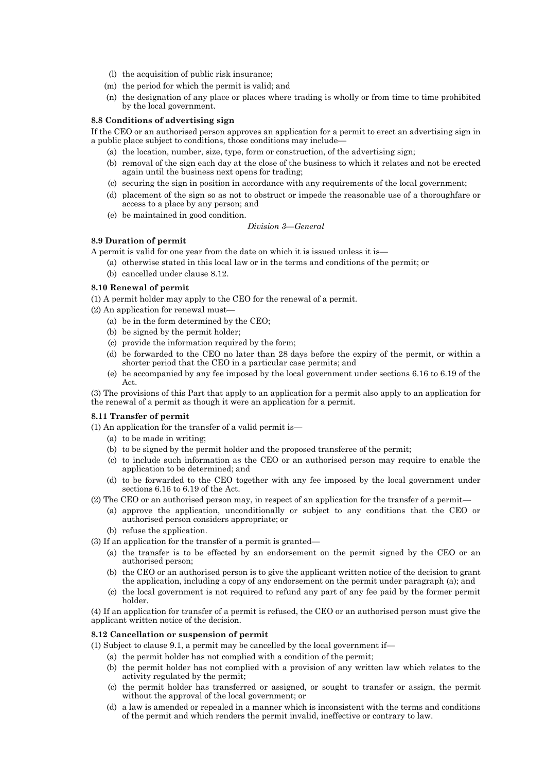- (l) the acquisition of public risk insurance;
- (m) the period for which the permit is valid; and
- (n) the designation of any place or places where trading is wholly or from time to time prohibited by the local government.

#### **8.8 Conditions of advertising sign**

If the CEO or an authorised person approves an application for a permit to erect an advertising sign in a public place subject to conditions, those conditions may include—

- (a) the location, number, size, type, form or construction, of the advertising sign;
- (b) removal of the sign each day at the close of the business to which it relates and not be erected again until the business next opens for trading;
- (c) securing the sign in position in accordance with any requirements of the local government;
- (d) placement of the sign so as not to obstruct or impede the reasonable use of a thoroughfare or access to a place by any person; and
- (e) be maintained in good condition.

*Division 3—General*

# **8.9 Duration of permit**

A permit is valid for one year from the date on which it is issued unless it is—

(a) otherwise stated in this local law or in the terms and conditions of the permit; or (b) cancelled under clause 8.12.

#### **8.10 Renewal of permit**

- (1) A permit holder may apply to the CEO for the renewal of a permit.
- (2) An application for renewal must—
	- (a) be in the form determined by the CEO;
	- (b) be signed by the permit holder;
	- (c) provide the information required by the form;
	- (d) be forwarded to the CEO no later than 28 days before the expiry of the permit, or within a shorter period that the CEO in a particular case permits; and
	- (e) be accompanied by any fee imposed by the local government under sections 6.16 to 6.19 of the Act.

(3) The provisions of this Part that apply to an application for a permit also apply to an application for the renewal of a permit as though it were an application for a permit.

#### **8.11 Transfer of permit**

(1) An application for the transfer of a valid permit is—

- (a) to be made in writing;
- (b) to be signed by the permit holder and the proposed transferee of the permit;
- (c) to include such information as the CEO or an authorised person may require to enable the application to be determined; and
- (d) to be forwarded to the CEO together with any fee imposed by the local government under sections 6.16 to 6.19 of the Act.
- (2) The CEO or an authorised person may, in respect of an application for the transfer of a permit—
	- (a) approve the application, unconditionally or subject to any conditions that the CEO or authorised person considers appropriate; or
	- (b) refuse the application.
- (3) If an application for the transfer of a permit is granted—
	- (a) the transfer is to be effected by an endorsement on the permit signed by the CEO or an authorised person;
	- (b) the CEO or an authorised person is to give the applicant written notice of the decision to grant the application, including a copy of any endorsement on the permit under paragraph (a); and
	- (c) the local government is not required to refund any part of any fee paid by the former permit holder.

(4) If an application for transfer of a permit is refused, the CEO or an authorised person must give the applicant written notice of the decision.

#### **8.12 Cancellation or suspension of permit**

- (1) Subject to clause 9.1, a permit may be cancelled by the local government if—
	- (a) the permit holder has not complied with a condition of the permit;
	- (b) the permit holder has not complied with a provision of any written law which relates to the activity regulated by the permit;
	- (c) the permit holder has transferred or assigned, or sought to transfer or assign, the permit without the approval of the local government; or
	- (d) a law is amended or repealed in a manner which is inconsistent with the terms and conditions of the permit and which renders the permit invalid, ineffective or contrary to law.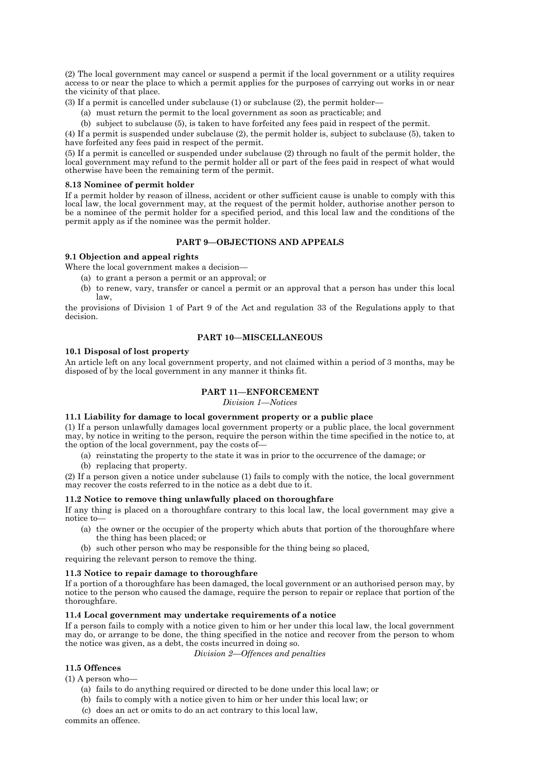(2) The local government may cancel or suspend a permit if the local government or a utility requires access to or near the place to which a permit applies for the purposes of carrying out works in or near the vicinity of that place.

(3) If a permit is cancelled under subclause (1) or subclause (2), the permit holder—

(a) must return the permit to the local government as soon as practicable; and

(b) subject to subclause (5), is taken to have forfeited any fees paid in respect of the permit.

(4) If a permit is suspended under subclause (2), the permit holder is, subject to subclause (5), taken to have forfeited any fees paid in respect of the permit.

(5) If a permit is cancelled or suspended under subclause (2) through no fault of the permit holder, the local government may refund to the permit holder all or part of the fees paid in respect of what would otherwise have been the remaining term of the permit.

#### **8.13 Nominee of permit holder**

If a permit holder by reason of illness, accident or other sufficient cause is unable to comply with this local law, the local government may, at the request of the permit holder, authorise another person to be a nominee of the permit holder for a specified period, and this local law and the conditions of the permit apply as if the nominee was the permit holder.

## **PART 9—OBJECTIONS AND APPEALS**

# **9.1 Objection and appeal rights**

Where the local government makes a decision—

- (a) to grant a person a permit or an approval; or
- (b) to renew, vary, transfer or cancel a permit or an approval that a person has under this local law,

the provisions of Division 1 of Part 9 of the Act and regulation 33 of the Regulations apply to that decision.

# **PART 10—MISCELLANEOUS**

#### **10.1 Disposal of lost property**

An article left on any local government property, and not claimed within a period of 3 months, may be disposed of by the local government in any manner it thinks fit.

# **PART 11—ENFORCEMENT**

*Division 1—Notices*

#### **11.1 Liability for damage to local government property or a public place**

(1) If a person unlawfully damages local government property or a public place, the local government may, by notice in writing to the person, require the person within the time specified in the notice to, at the option of the local government, pay the costs of—

- (a) reinstating the property to the state it was in prior to the occurrence of the damage; or
- (b) replacing that property.

(2) If a person given a notice under subclause (1) fails to comply with the notice, the local government may recover the costs referred to in the notice as a debt due to it.

#### **11.2 Notice to remove thing unlawfully placed on thoroughfare**

If any thing is placed on a thoroughfare contrary to this local law, the local government may give a notice to—

- (a) the owner or the occupier of the property which abuts that portion of the thoroughfare where the thing has been placed; or
- (b) such other person who may be responsible for the thing being so placed,

requiring the relevant person to remove the thing.

#### **11.3 Notice to repair damage to thoroughfare**

If a portion of a thoroughfare has been damaged, the local government or an authorised person may, by notice to the person who caused the damage, require the person to repair or replace that portion of the thoroughfare.

## **11.4 Local government may undertake requirements of a notice**

If a person fails to comply with a notice given to him or her under this local law, the local government may do, or arrange to be done, the thing specified in the notice and recover from the person to whom the notice was given, as a debt, the costs incurred in doing so.

*Division 2—Offences and penalties*

## **11.5 Offences**

(1) A person who—

- (a) fails to do anything required or directed to be done under this local law; or
- (b) fails to comply with a notice given to him or her under this local law; or
- (c) does an act or omits to do an act contrary to this local law,

commits an offence.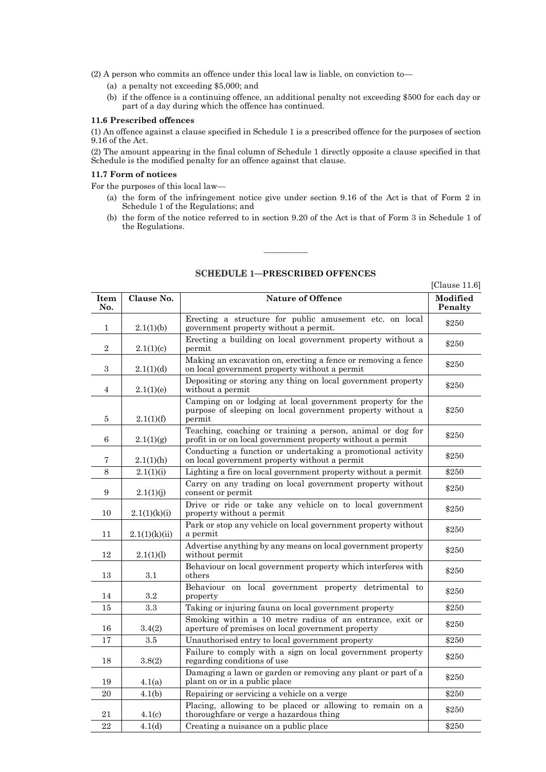(2) A person who commits an offence under this local law is liable, on conviction to—

- (a) a penalty not exceeding \$5,000; and
- (b) if the offence is a continuing offence, an additional penalty not exceeding \$500 for each day or part of a day during which the offence has continued.

#### **11.6 Prescribed offences**

(1) An offence against a clause specified in Schedule 1 is a prescribed offence for the purposes of section 9.16 of the Act.

(2) The amount appearing in the final column of Schedule 1 directly opposite a clause specified in that Schedule is the modified penalty for an offence against that clause.

#### **11.7 Form of notices**

For the purposes of this local law—

- (a) the form of the infringement notice give under section 9.16 of the Act is that of Form 2 in Schedule 1 of the Regulations; and
- (b) the form of the notice referred to in section 9.20 of the Act is that of Form 3 in Schedule 1 of the Regulations.

|                |               |                                                                                                                                    | [Clause $11.6$ ]    |
|----------------|---------------|------------------------------------------------------------------------------------------------------------------------------------|---------------------|
| Item<br>No.    | Clause No.    | <b>Nature of Offence</b>                                                                                                           | Modified<br>Penalty |
| $\mathbf{1}$   | 2.1(1)(b)     | Erecting a structure for public amusement etc. on local<br>government property without a permit.                                   | \$250               |
| $\overline{2}$ | 2.1(1)(c)     | Erecting a building on local government property without a<br>permit                                                               | \$250               |
| 3              | 2.1(1)(d)     | Making an excavation on, erecting a fence or removing a fence<br>on local government property without a permit                     | \$250               |
| 4              | 2.1(1)(e)     | Depositing or storing any thing on local government property<br>without a permit                                                   | \$250               |
| 5              | 2.1(1)(f)     | Camping on or lodging at local government property for the<br>purpose of sleeping on local government property without a<br>permit | \$250               |
| 6              | 2.1(1)(g)     | Teaching, coaching or training a person, animal or dog for<br>profit in or on local government property without a permit           | \$250               |
| 7              | 2.1(1)(h)     | Conducting a function or undertaking a promotional activity<br>on local government property without a permit                       | \$250               |
| 8              | 2.1(1)(i)     | Lighting a fire on local government property without a permit                                                                      | \$250               |
| 9              | 2.1(1)(j)     | Carry on any trading on local government property without<br>consent or permit                                                     | \$250               |
| 10             | 2.1(1)(k)(i)  | Drive or ride or take any vehicle on to local government<br>property without a permit                                              | \$250               |
| 11             | 2.1(1)(k)(ii) | Park or stop any vehicle on local government property without<br>a permit                                                          | \$250               |
| 12             | 2.1(1)(1)     | Advertise anything by any means on local government property<br>without permit                                                     | \$250               |
| 13             | 3.1           | Behaviour on local government property which interferes with<br>others                                                             | \$250               |
| 14             | $3.2\,$       | Behaviour on local government property detrimental to<br>property                                                                  | \$250               |
| 15             | 3.3           | Taking or injuring fauna on local government property                                                                              | \$250               |
| 16             | 3.4(2)        | Smoking within a 10 metre radius of an entrance, exit or<br>aperture of premises on local government property                      | \$250               |
| 17             | 3.5           | Unauthorised entry to local government property                                                                                    | \$250               |
| 18             | 3.8(2)        | Failure to comply with a sign on local government property<br>regarding conditions of use                                          | \$250               |
| 19             | 4.1(a)        | Damaging a lawn or garden or removing any plant or part of a<br>plant on or in a public place                                      | \$250               |
| 20             | 4.1(b)        | Repairing or servicing a vehicle on a verge                                                                                        | \$250               |
| 21             | 4.1(c)        | Placing, allowing to be placed or allowing to remain on a<br>thoroughfare or verge a hazardous thing                               | \$250               |
| 22             | 4.1(d)        | Creating a nuisance on a public place                                                                                              | \$250               |

# **SCHEDULE 1-PRESCRIBED OFFENCES**

————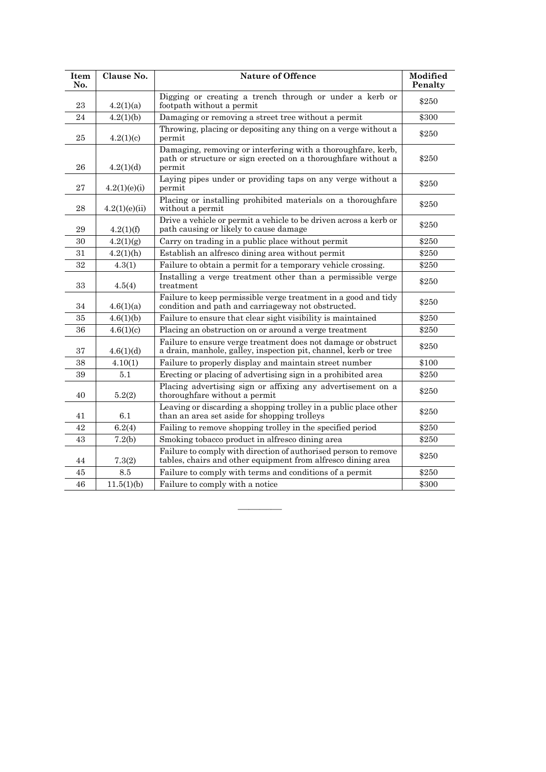| <b>Item</b><br>No. | Clause No.    | <b>Nature of Offence</b>                                                                                                                | <b>Modified</b><br>Penalty |
|--------------------|---------------|-----------------------------------------------------------------------------------------------------------------------------------------|----------------------------|
| 23                 | 4.2(1)(a)     | Digging or creating a trench through or under a kerb or<br>footpath without a permit                                                    | \$250                      |
| 24                 | 4.2(1)(b)     | Damaging or removing a street tree without a permit                                                                                     | \$300                      |
| 25                 | 4.2(1)(c)     | Throwing, placing or depositing any thing on a verge without a<br>permit                                                                | \$250                      |
| 26                 | 4.2(1)(d)     | Damaging, removing or interfering with a thoroughfare, kerb,<br>path or structure or sign erected on a thoroughfare without a<br>permit | \$250                      |
| 27                 | 4.2(1)(e)(i)  | Laying pipes under or providing taps on any verge without a<br>permit                                                                   | \$250                      |
| 28                 | 4.2(1)(e)(ii) | Placing or installing prohibited materials on a thoroughfare<br>without a permit                                                        | \$250                      |
| 29                 | 4.2(1)(f)     | Drive a vehicle or permit a vehicle to be driven across a kerb or<br>path causing or likely to cause damage                             | \$250                      |
| 30                 | 4.2(1)(g)     | Carry on trading in a public place without permit                                                                                       | \$250                      |
| 31                 | 4.2(1)(h)     | Establish an alfresco dining area without permit                                                                                        | \$250                      |
| 32                 | 4.3(1)        | Failure to obtain a permit for a temporary vehicle crossing.                                                                            | \$250                      |
| 33                 | 4.5(4)        | Installing a verge treatment other than a permissible verge<br>treatment                                                                | \$250                      |
| 34                 | 4.6(1)(a)     | Failure to keep permissible verge treatment in a good and tidy<br>condition and path and carriageway not obstructed.                    | \$250                      |
| 35                 | 4.6(1)(b)     | Failure to ensure that clear sight visibility is maintained                                                                             | \$250                      |
| 36                 | 4.6(1)(c)     | Placing an obstruction on or around a verge treatment                                                                                   | \$250                      |
| 37                 | 4.6(1)(d)     | Failure to ensure verge treatment does not damage or obstruct<br>a drain, manhole, galley, inspection pit, channel, kerb or tree        | \$250                      |
| 38                 | 4.10(1)       | Failure to properly display and maintain street number                                                                                  | \$100                      |
| 39                 | 5.1           | Erecting or placing of advertising sign in a prohibited area                                                                            | \$250                      |
| 40                 | 5.2(2)        | Placing advertising sign or affixing any advertisement on a<br>thoroughfare without a permit                                            | \$250                      |
| 41                 | 6.1           | Leaving or discarding a shopping trolley in a public place other<br>than an area set aside for shopping trolleys                        | \$250                      |
| 42                 | 6.2(4)        | Failing to remove shopping trolley in the specified period                                                                              | \$250                      |
| 43                 | 7.2(b)        | Smoking tobacco product in alfresco dining area                                                                                         | \$250                      |
| 44                 | 7.3(2)        | Failure to comply with direction of authorised person to remove<br>tables, chairs and other equipment from alfresco dining area         | \$250                      |
| 45                 | 8.5           | Failure to comply with terms and conditions of a permit                                                                                 | \$250                      |
| 46                 | 11.5(1)(b)    | Failure to comply with a notice                                                                                                         | \$300                      |

————